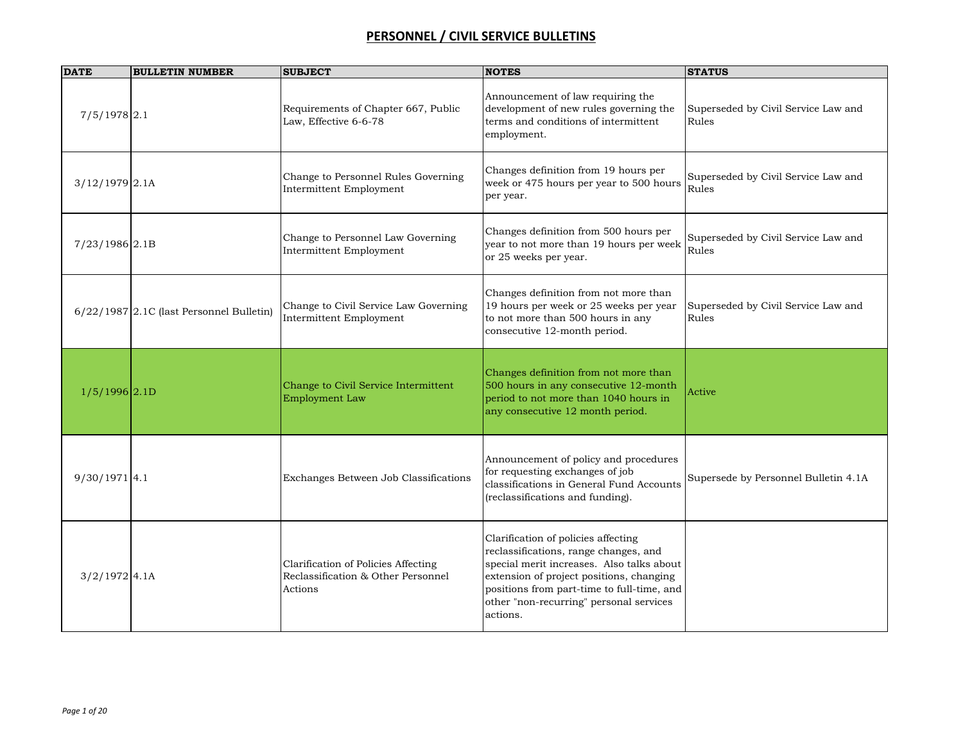| <b>DATE</b>                | <b>BULLETIN NUMBER</b>                     | <b>SUBJECT</b>                                                                       | <b>NOTES</b>                                                                                                                                                                                                                                                               | <b>STATUS</b>                                |
|----------------------------|--------------------------------------------|--------------------------------------------------------------------------------------|----------------------------------------------------------------------------------------------------------------------------------------------------------------------------------------------------------------------------------------------------------------------------|----------------------------------------------|
| $7/5/1978$ 2.1             |                                            | Requirements of Chapter 667, Public<br>Law, Effective 6-6-78                         | Announcement of law requiring the<br>development of new rules governing the<br>terms and conditions of intermittent<br>employment.                                                                                                                                         | Superseded by Civil Service Law and<br>Rules |
| $3/12/1979$ 2.1A           |                                            | Change to Personnel Rules Governing<br>Intermittent Employment                       | Changes definition from 19 hours per<br>week or 475 hours per year to 500 hours<br>per year.                                                                                                                                                                               | Superseded by Civil Service Law and<br>Rules |
| 7/23/1986 2.1B             |                                            | Change to Personnel Law Governing<br>Intermittent Employment                         | Changes definition from 500 hours per<br>year to not more than 19 hours per week<br>or 25 weeks per year.                                                                                                                                                                  | Superseded by Civil Service Law and<br>Rules |
|                            | $6/22/1987$ 2.1C (last Personnel Bulletin) | Change to Civil Service Law Governing<br><b>Intermittent Employment</b>              | Changes definition from not more than<br>19 hours per week or 25 weeks per year<br>to not more than 500 hours in any<br>consecutive 12-month period.                                                                                                                       | Superseded by Civil Service Law and<br>Rules |
| $1/5/1996$ <sub>2.1D</sub> |                                            | Change to Civil Service Intermittent<br><b>Employment Law</b>                        | Changes definition from not more than<br>500 hours in any consecutive 12-month<br>period to not more than 1040 hours in<br>any consecutive 12 month period.                                                                                                                | Active                                       |
| $9/30/1971$ 4.1            |                                            | Exchanges Between Job Classifications                                                | Announcement of policy and procedures<br>for requesting exchanges of job<br>classifications in General Fund Accounts<br>(reclassifications and funding).                                                                                                                   | Supersede by Personnel Bulletin 4.1A         |
| $3/2/1972$ 4.1A            |                                            | Clarification of Policies Affecting<br>Reclassification & Other Personnel<br>Actions | Clarification of policies affecting<br>reclassifications, range changes, and<br>special merit increases. Also talks about<br>extension of project positions, changing<br>positions from part-time to full-time, and<br>other "non-recurring" personal services<br>actions. |                                              |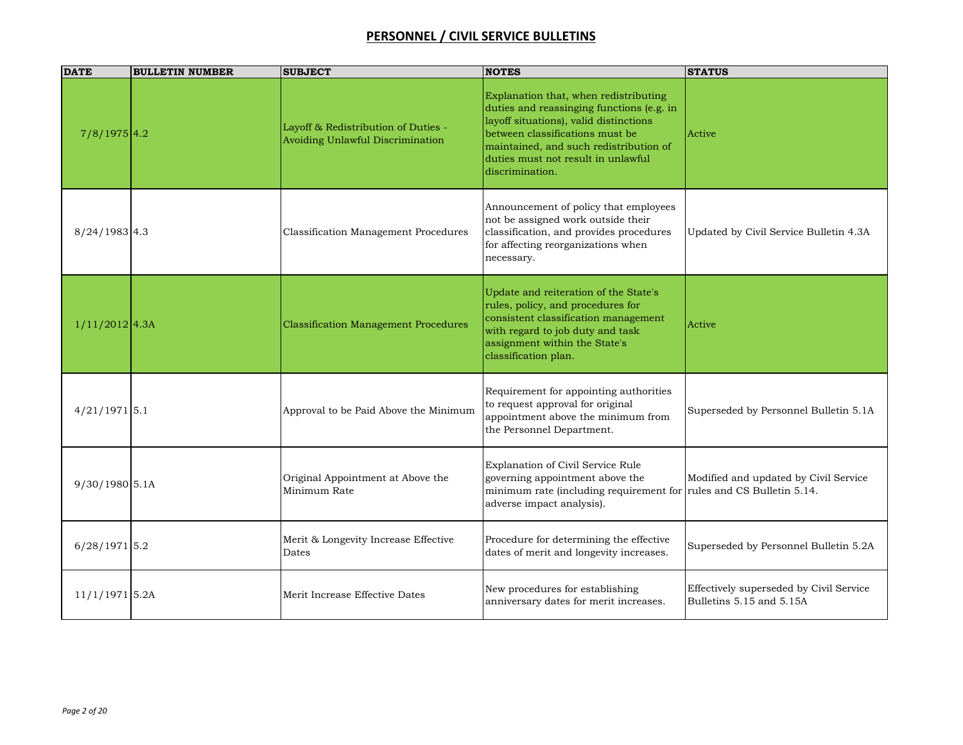| <b>DATE</b>      | <b>BULLETIN NUMBER</b> | <b>SUBJECT</b>                                                          | <b>NOTES</b>                                                                                                                                                                                                                                                       | <b>STATUS</b>                                                       |
|------------------|------------------------|-------------------------------------------------------------------------|--------------------------------------------------------------------------------------------------------------------------------------------------------------------------------------------------------------------------------------------------------------------|---------------------------------------------------------------------|
| $7/8/1975$ 4.2   |                        | Layoff & Redistribution of Duties -<br>Avoiding Unlawful Discrimination | Explanation that, when redistributing<br>duties and reassinging functions (e.g. in<br>layoff situations), valid distinctions<br>between classifications must be<br>maintained, and such redistribution of<br>duties must not result in unlawful<br>discrimination. | Active                                                              |
| $8/24/1983$ 4.3  |                        | Classification Management Procedures                                    | Announcement of policy that employees<br>not be assigned work outside their<br>classification, and provides procedures<br>for affecting reorganizations when<br>necessary.                                                                                         | Updated by Civil Service Bulletin 4.3A                              |
| $1/11/2012$ 4.3A |                        | Classification Management Procedures                                    | Update and reiteration of the State's<br>rules, policy, and procedures for<br>consistent classification management<br>with regard to job duty and task<br>assignment within the State's<br>classification plan.                                                    | Active                                                              |
| $4/21/1971$ 5.1  |                        | Approval to be Paid Above the Minimum                                   | Requirement for appointing authorities<br>to request approval for original<br>appointment above the minimum from<br>the Personnel Department.                                                                                                                      | Superseded by Personnel Bulletin 5.1A                               |
| 9/30/1980 5.1A   |                        | Original Appointment at Above the<br>Minimum Rate                       | Explanation of Civil Service Rule<br>governing appointment above the<br>minimum rate (including requirement for rules and CS Bulletin 5.14.<br>adverse impact analysis).                                                                                           | Modified and updated by Civil Service                               |
| $6/28/1971$ 5.2  |                        | Merit & Longevity Increase Effective<br>Dates                           | Procedure for determining the effective<br>dates of merit and longevity increases.                                                                                                                                                                                 | Superseded by Personnel Bulletin 5.2A                               |
| $11/1/1971$ 5.2A |                        | Merit Increase Effective Dates                                          | New procedures for establishing<br>anniversary dates for merit increases.                                                                                                                                                                                          | Effectively superseded by Civil Service<br>Bulletins 5.15 and 5.15A |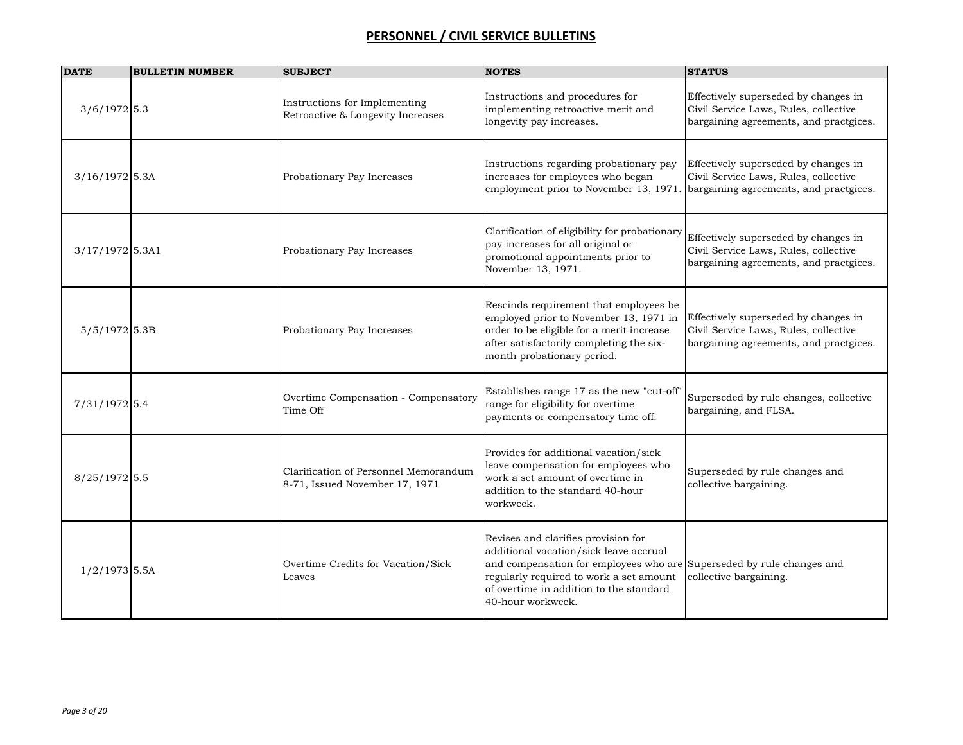| <b>DATE</b>       | <b>BULLETIN NUMBER</b> | <b>SUBJECT</b>                                                          | <b>NOTES</b>                                                                                                                                                                                                                                                      | <b>STATUS</b>                                                                                                           |
|-------------------|------------------------|-------------------------------------------------------------------------|-------------------------------------------------------------------------------------------------------------------------------------------------------------------------------------------------------------------------------------------------------------------|-------------------------------------------------------------------------------------------------------------------------|
| $3/6/1972$ 5.3    |                        | Instructions for Implementing<br>Retroactive & Longevity Increases      | Instructions and procedures for<br>implementing retroactive merit and<br>longevity pay increases.                                                                                                                                                                 | Effectively superseded by changes in<br>Civil Service Laws, Rules, collective<br>bargaining agreements, and practgices. |
| $3/16/1972$ 5.3A  |                        | Probationary Pay Increases                                              | Instructions regarding probationary pay<br>increases for employees who began<br>employment prior to November 13, 1971.                                                                                                                                            | Effectively superseded by changes in<br>Civil Service Laws, Rules, collective<br>bargaining agreements, and practgices. |
| $3/17/1972$ 5.3A1 |                        | Probationary Pay Increases                                              | Clarification of eligibility for probationary<br>pay increases for all original or<br>promotional appointments prior to<br>November 13, 1971.                                                                                                                     | Effectively superseded by changes in<br>Civil Service Laws, Rules, collective<br>bargaining agreements, and practgices. |
| $5/5/1972$ 5.3B   |                        | Probationary Pay Increases                                              | Rescinds requirement that employees be<br>employed prior to November 13, 1971 in<br>order to be eligible for a merit increase<br>after satisfactorily completing the six-<br>month probationary period.                                                           | Effectively superseded by changes in<br>Civil Service Laws, Rules, collective<br>bargaining agreements, and practgices. |
| 7/31/1972 5.4     |                        | Overtime Compensation - Compensatory<br>Time Off                        | Establishes range 17 as the new "cut-off"<br>range for eligibility for overtime<br>payments or compensatory time off.                                                                                                                                             | Superseded by rule changes, collective<br>bargaining, and FLSA.                                                         |
| 8/25/1972 5.5     |                        | Clarification of Personnel Memorandum<br>8-71, Issued November 17, 1971 | Provides for additional vacation/sick<br>leave compensation for employees who<br>work a set amount of overtime in<br>addition to the standard 40-hour<br>workweek.                                                                                                | Superseded by rule changes and<br>collective bargaining.                                                                |
| $1/2/1973$ 5.5A   |                        | Overtime Credits for Vacation/Sick<br>Leaves                            | Revises and clarifies provision for<br>additional vacation/sick leave accrual<br>and compensation for employees who are Superseded by rule changes and<br>regularly required to work a set amount<br>of overtime in addition to the standard<br>40-hour workweek. | collective bargaining.                                                                                                  |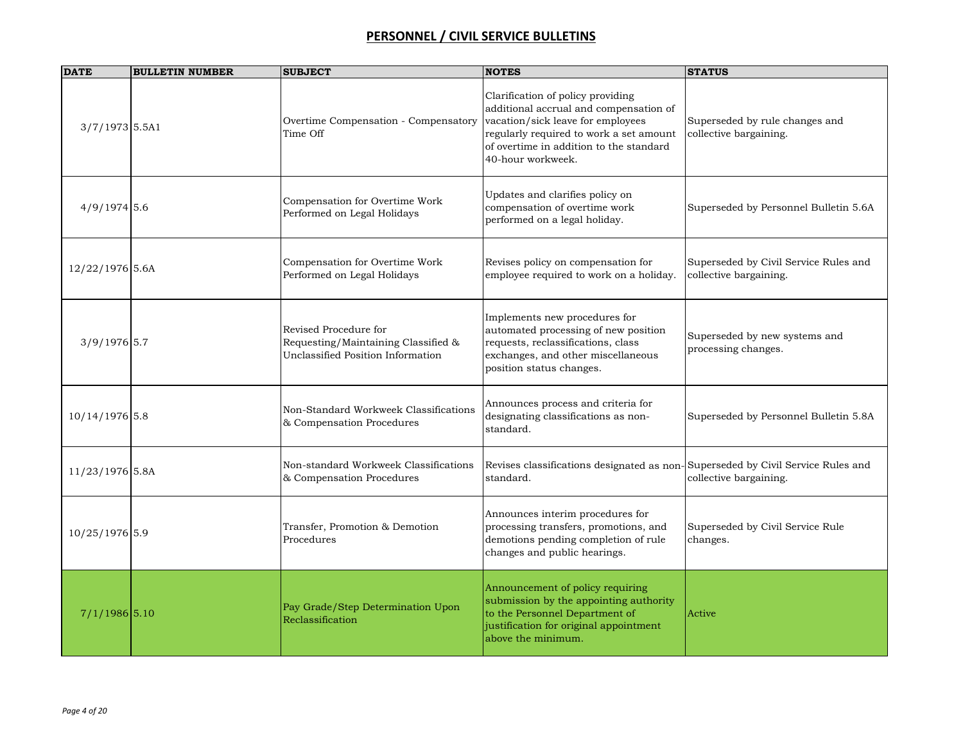| <b>DATE</b>      | <b>BULLETIN NUMBER</b> | <b>SUBJECT</b>                                                                                    | <b>NOTES</b>                                                                                                                                                                                                                | <b>STATUS</b>                                                   |
|------------------|------------------------|---------------------------------------------------------------------------------------------------|-----------------------------------------------------------------------------------------------------------------------------------------------------------------------------------------------------------------------------|-----------------------------------------------------------------|
| $3/7/1973$ 5.5A1 |                        | Overtime Compensation - Compensatory<br>Time Off                                                  | Clarification of policy providing<br>additional accrual and compensation of<br>vacation/sick leave for employees<br>regularly required to work a set amount<br>of overtime in addition to the standard<br>40-hour workweek. | Superseded by rule changes and<br>collective bargaining.        |
| $4/9/1974$ 5.6   |                        | Compensation for Overtime Work<br>Performed on Legal Holidays                                     | Updates and clarifies policy on<br>compensation of overtime work<br>performed on a legal holiday.                                                                                                                           | Superseded by Personnel Bulletin 5.6A                           |
| 12/22/1976 5.6A  |                        | Compensation for Overtime Work<br>Performed on Legal Holidays                                     | Revises policy on compensation for<br>employee required to work on a holiday.                                                                                                                                               | Superseded by Civil Service Rules and<br>collective bargaining. |
| $3/9/1976$ 5.7   |                        | Revised Procedure for<br>Requesting/Maintaining Classified &<br>Unclassified Position Information | Implements new procedures for<br>automated processing of new position<br>requests, reclassifications, class<br>exchanges, and other miscellaneous<br>position status changes.                                               | Superseded by new systems and<br>processing changes.            |
| 10/14/1976 5.8   |                        | Non-Standard Workweek Classifications<br>& Compensation Procedures                                | Announces process and criteria for<br>designating classifications as non-<br>standard.                                                                                                                                      | Superseded by Personnel Bulletin 5.8A                           |
| 11/23/1976 5.8A  |                        | Non-standard Workweek Classifications<br>& Compensation Procedures                                | Revises classifications designated as non-Superseded by Civil Service Rules and<br>standard.                                                                                                                                | collective bargaining.                                          |
| 10/25/1976 5.9   |                        | Transfer, Promotion & Demotion<br>Procedures                                                      | Announces interim procedures for<br>processing transfers, promotions, and<br>demotions pending completion of rule<br>changes and public hearings.                                                                           | Superseded by Civil Service Rule<br>changes.                    |
| $7/1/1986$ 5.10  |                        | Pay Grade/Step Determination Upon<br>Reclassification                                             | Announcement of policy requiring<br>submission by the appointing authority<br>to the Personnel Department of<br>justification for original appointment<br>above the minimum.                                                | Active                                                          |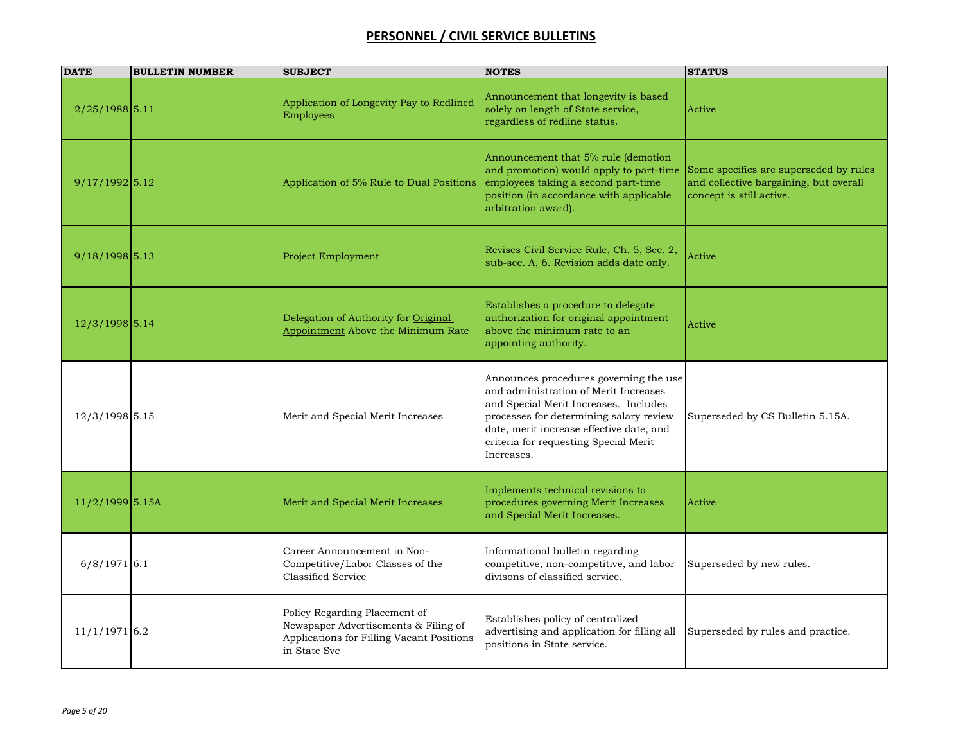| <b>DATE</b>       | <b>BULLETIN NUMBER</b> | <b>SUBJECT</b>                                                                                                                     | <b>NOTES</b>                                                                                                                                                                                                                                                           | <b>STATUS</b>                                                                                                |
|-------------------|------------------------|------------------------------------------------------------------------------------------------------------------------------------|------------------------------------------------------------------------------------------------------------------------------------------------------------------------------------------------------------------------------------------------------------------------|--------------------------------------------------------------------------------------------------------------|
| $2/25/1988$ 5.11  |                        | Application of Longevity Pay to Redlined<br><b>Employees</b>                                                                       | Announcement that longevity is based<br>solely on length of State service,<br>regardless of redline status.                                                                                                                                                            | Active                                                                                                       |
| $9/17/1992$ 5.12  |                        | Application of 5% Rule to Dual Positions                                                                                           | Announcement that 5% rule (demotion<br>and promotion) would apply to part-time<br>employees taking a second part-time<br>position (in accordance with applicable<br>arbitration award).                                                                                | Some specifics are superseded by rules<br>and collective bargaining, but overall<br>concept is still active. |
| $9/18/1998$ 5.13  |                        | <b>Project Employment</b>                                                                                                          | Revises Civil Service Rule, Ch. 5, Sec. 2,<br>sub-sec. A, 6. Revision adds date only.                                                                                                                                                                                  | Active                                                                                                       |
| $12/3/1998$ 5.14  |                        | Delegation of Authority for Original<br>Appointment Above the Minimum Rate                                                         | Establishes a procedure to delegate<br>authorization for original appointment<br>above the minimum rate to an<br>appointing authority.                                                                                                                                 | Active                                                                                                       |
| 12/3/1998 5.15    |                        | Merit and Special Merit Increases                                                                                                  | Announces procedures governing the use<br>and administration of Merit Increases<br>and Special Merit Increases. Includes<br>processes for determining salary review<br>date, merit increase effective date, and<br>criteria for requesting Special Merit<br>Increases. | Superseded by CS Bulletin 5.15A.                                                                             |
| $11/2/1999$ 5.15A |                        | Merit and Special Merit Increases                                                                                                  | Implements technical revisions to<br>procedures governing Merit Increases<br>and Special Merit Increases.                                                                                                                                                              | Active                                                                                                       |
| $6/8/1971$ 6.1    |                        | Career Announcement in Non-<br>Competitive/Labor Classes of the<br>Classified Service                                              | Informational bulletin regarding<br>competitive, non-competitive, and labor<br>divisons of classified service.                                                                                                                                                         | Superseded by new rules.                                                                                     |
| $11/1/1971$ 6.2   |                        | Policy Regarding Placement of<br>Newspaper Advertisements & Filing of<br>Applications for Filling Vacant Positions<br>in State Svc | Establishes policy of centralized<br>advertising and application for filling all<br>positions in State service.                                                                                                                                                        | Superseded by rules and practice.                                                                            |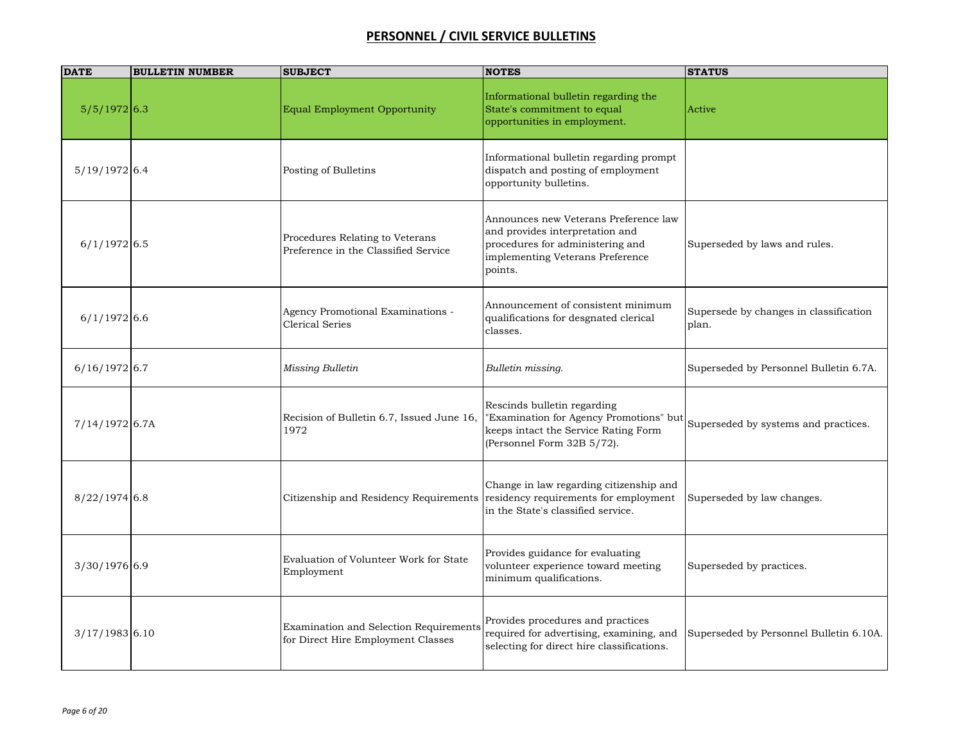| <b>DATE</b>      | <b>BULLETIN NUMBER</b> | <b>SUBJECT</b>                                                               | <b>NOTES</b>                                                                                                                                                | <b>STATUS</b>                                   |
|------------------|------------------------|------------------------------------------------------------------------------|-------------------------------------------------------------------------------------------------------------------------------------------------------------|-------------------------------------------------|
| $5/5/1972$ 6.3   |                        | Equal Employment Opportunity                                                 | Informational bulletin regarding the<br>State's commitment to equal<br>opportunities in employment.                                                         | Active                                          |
| $5/19/1972$ 6.4  |                        | Posting of Bulletins                                                         | Informational bulletin regarding prompt<br>dispatch and posting of employment<br>opportunity bulletins.                                                     |                                                 |
| $6/1/1972$ 6.5   |                        | Procedures Relating to Veterans<br>Preference in the Classified Service      | Announces new Veterans Preference law<br>and provides interpretation and<br>procedures for administering and<br>implementing Veterans Preference<br>points. | Superseded by laws and rules.                   |
| $6/1/1972$ 6.6   |                        | Agency Promotional Examinations -<br><b>Clerical Series</b>                  | Announcement of consistent minimum<br>qualifications for desgnated clerical<br>classes.                                                                     | Supersede by changes in classification<br>plan. |
| $6/16/1972$ 6.7  |                        | Missing Bulletin                                                             | Bulletin missing.                                                                                                                                           | Superseded by Personnel Bulletin 6.7A.          |
| $7/14/1972$ 6.7A |                        | Recision of Bulletin 6.7, Issued June 16,<br>1972                            | Rescinds bulletin regarding<br>"Examination for Agency Promotions" but<br>keeps intact the Service Rating Form<br>(Personnel Form 32B 5/72).                | Superseded by systems and practices.            |
| $8/22/1974$ 6.8  |                        | Citizenship and Residency Requirements                                       | Change in law regarding citizenship and<br>residency requirements for employment<br>in the State's classified service.                                      | Superseded by law changes.                      |
| $3/30/1976$ 6.9  |                        | Evaluation of Volunteer Work for State<br>Employment                         | Provides guidance for evaluating<br>volunteer experience toward meeting<br>minimum qualifications.                                                          | Superseded by practices.                        |
| $3/17/1983$ 6.10 |                        | Examination and Selection Requirements<br>for Direct Hire Employment Classes | Provides procedures and practices<br>required for advertising, examining, and<br>selecting for direct hire classifications.                                 | Superseded by Personnel Bulletin 6.10A.         |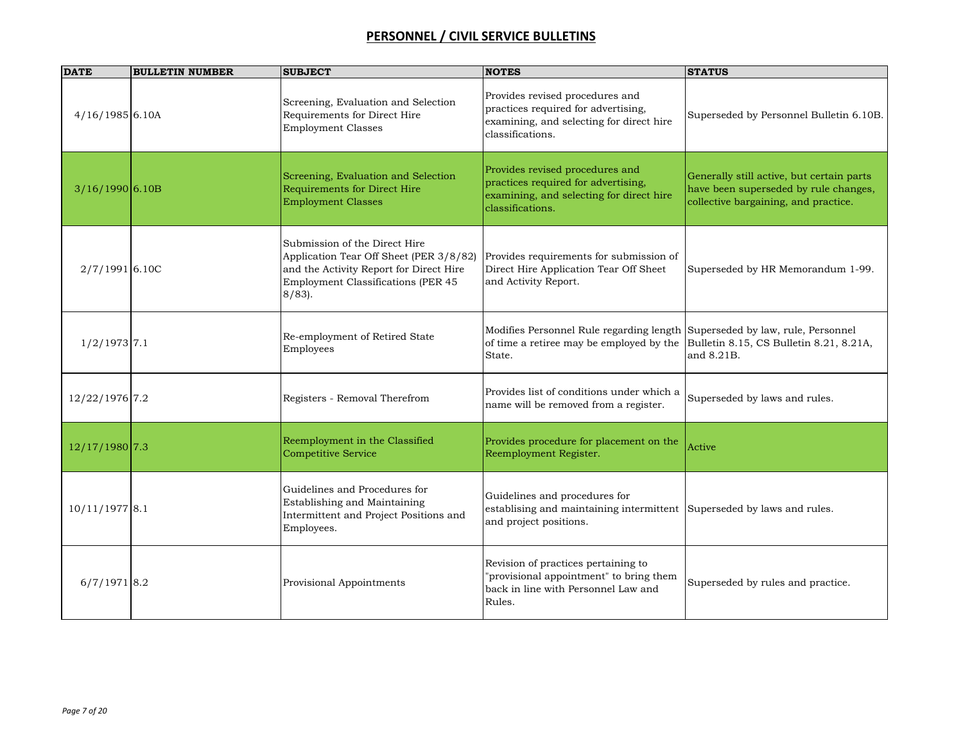| <b>DATE</b>       | <b>BULLETIN NUMBER</b> | <b>SUBJECT</b>                                                                                                                                                         | <b>NOTES</b>                                                                                                                           | <b>STATUS</b>                                                                                                              |
|-------------------|------------------------|------------------------------------------------------------------------------------------------------------------------------------------------------------------------|----------------------------------------------------------------------------------------------------------------------------------------|----------------------------------------------------------------------------------------------------------------------------|
| $4/16/1985$ 6.10A |                        | Screening, Evaluation and Selection<br>Requirements for Direct Hire<br><b>Employment Classes</b>                                                                       | Provides revised procedures and<br>practices required for advertising,<br>examining, and selecting for direct hire<br>classifications. | Superseded by Personnel Bulletin 6.10B.                                                                                    |
| $3/16/1990$ 6.10B |                        | Screening, Evaluation and Selection<br>Requirements for Direct Hire<br><b>Employment Classes</b>                                                                       | Provides revised procedures and<br>practices required for advertising,<br>examining, and selecting for direct hire<br>classifications. | Generally still active, but certain parts<br>have been superseded by rule changes,<br>collective bargaining, and practice. |
| $2/7/1991$ 6.10C  |                        | Submission of the Direct Hire<br>Application Tear Off Sheet (PER 3/8/82)<br>and the Activity Report for Direct Hire<br>Employment Classifications (PER 45<br>$8/83$ ). | Provides requirements for submission of<br>Direct Hire Application Tear Off Sheet<br>and Activity Report.                              | Superseded by HR Memorandum 1-99.                                                                                          |
| $1/2/1973$ 7.1    |                        | Re-employment of Retired State<br>Employees                                                                                                                            | Modifies Personnel Rule regarding length<br>of time a retiree may be employed by the<br>State.                                         | Superseded by law, rule, Personnel<br>Bulletin 8.15, CS Bulletin 8.21, 8.21A,<br>and 8.21B.                                |
| 12/22/1976 7.2    |                        | Registers - Removal Therefrom                                                                                                                                          | Provides list of conditions under which a<br>name will be removed from a register.                                                     | Superseded by laws and rules.                                                                                              |
| $12/17/1980$ 7.3  |                        | Reemployment in the Classified<br><b>Competitive Service</b>                                                                                                           | Provides procedure for placement on the<br>Reemployment Register.                                                                      | Active                                                                                                                     |
| $10/11/1977$ 8.1  |                        | Guidelines and Procedures for<br>Establishing and Maintaining<br>Intermittent and Project Positions and<br>Employees.                                                  | Guidelines and procedures for<br>establising and maintaining intermittent Superseded by laws and rules.<br>and project positions.      |                                                                                                                            |
| $6/7/1971$ 8.2    |                        | Provisional Appointments                                                                                                                                               | Revision of practices pertaining to<br>"provisional appointment" to bring them<br>back in line with Personnel Law and<br>Rules.        | Superseded by rules and practice.                                                                                          |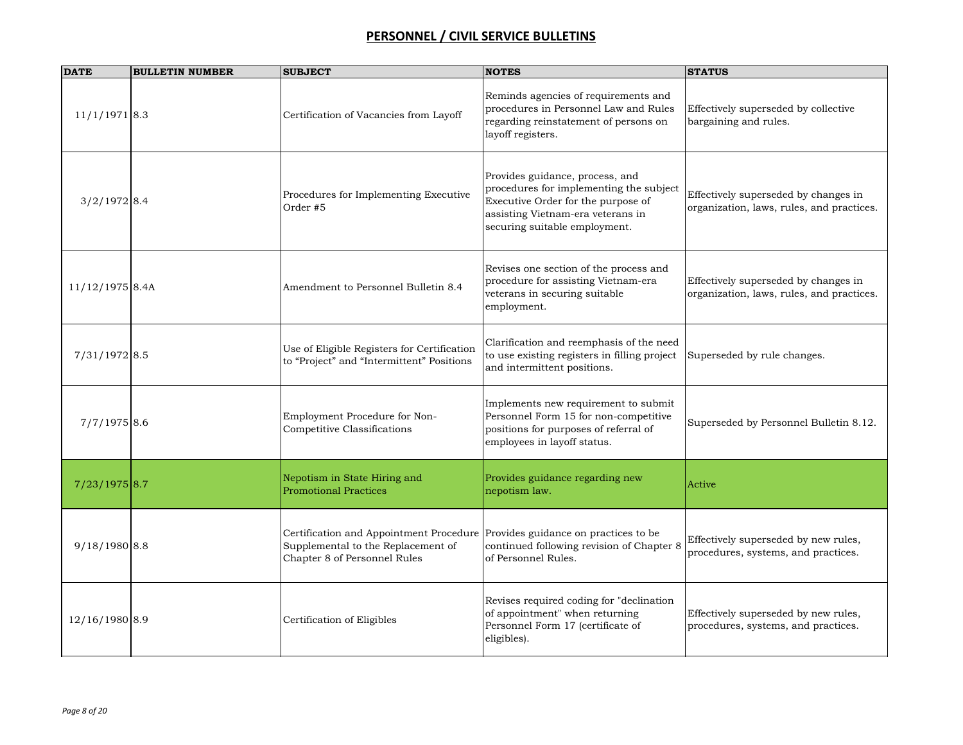| <b>DATE</b>       | <b>BULLETIN NUMBER</b> | <b>SUBJECT</b>                                                                                                                                     | <b>NOTES</b>                                                                                                                                                                           | <b>STATUS</b>                                                                     |
|-------------------|------------------------|----------------------------------------------------------------------------------------------------------------------------------------------------|----------------------------------------------------------------------------------------------------------------------------------------------------------------------------------------|-----------------------------------------------------------------------------------|
| $11/1/1971$ 8.3   |                        | Certification of Vacancies from Layoff                                                                                                             | Reminds agencies of requirements and<br>procedures in Personnel Law and Rules<br>regarding reinstatement of persons on<br>layoff registers.                                            | Effectively superseded by collective<br>bargaining and rules.                     |
| $3/2/1972$ 8.4    |                        | Procedures for Implementing Executive<br>Order #5                                                                                                  | Provides guidance, process, and<br>procedures for implementing the subject<br>Executive Order for the purpose of<br>assisting Vietnam-era veterans in<br>securing suitable employment. | Effectively superseded by changes in<br>organization, laws, rules, and practices. |
| $11/12/1975$ 8.4A |                        | Amendment to Personnel Bulletin 8.4                                                                                                                | Revises one section of the process and<br>procedure for assisting Vietnam-era<br>veterans in securing suitable<br>employment.                                                          | Effectively superseded by changes in<br>organization, laws, rules, and practices. |
| 7/31/1972 8.5     |                        | Use of Eligible Registers for Certification<br>to "Project" and "Intermittent" Positions                                                           | Clarification and reemphasis of the need<br>to use existing registers in filling project<br>and intermittent positions.                                                                | Superseded by rule changes.                                                       |
| $7/7/1975$ 8.6    |                        | Employment Procedure for Non-<br>Competitive Classifications                                                                                       | Implements new requirement to submit<br>Personnel Form 15 for non-competitive<br>positions for purposes of referral of<br>employees in layoff status.                                  | Superseded by Personnel Bulletin 8.12.                                            |
| $7/23/1975$ 8.7   |                        | Nepotism in State Hiring and<br><b>Promotional Practices</b>                                                                                       | Provides guidance regarding new<br>nepotism law.                                                                                                                                       | Active                                                                            |
| $9/18/1980$ 8.8   |                        | Certification and Appointment Procedure Provides guidance on practices to be<br>Supplemental to the Replacement of<br>Chapter 8 of Personnel Rules | continued following revision of Chapter 8<br>of Personnel Rules.                                                                                                                       | Effectively superseded by new rules,<br>procedures, systems, and practices.       |
| 12/16/1980 8.9    |                        | Certification of Eligibles                                                                                                                         | Revises required coding for "declination<br>of appointment" when returning<br>Personnel Form 17 (certificate of<br>eligibles).                                                         | Effectively superseded by new rules,<br>procedures, systems, and practices.       |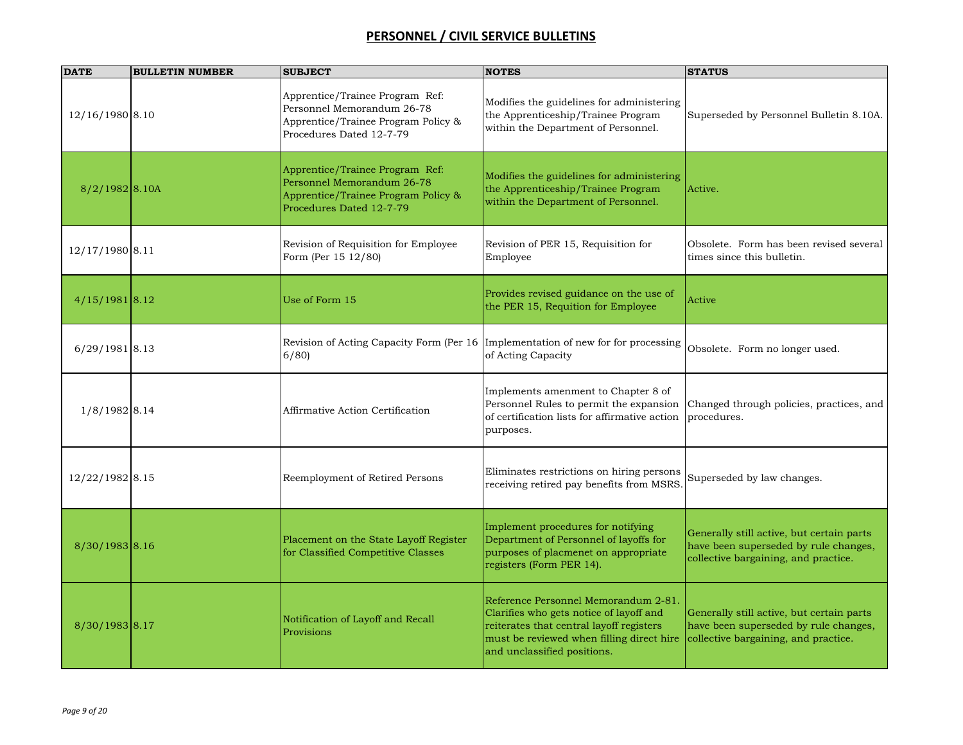| <b>DATE</b>      | <b>BULLETIN NUMBER</b> | <b>SUBJECT</b>                                                                                                                   | <b>NOTES</b>                                                                                                                                                                                            | <b>STATUS</b>                                                                                                              |
|------------------|------------------------|----------------------------------------------------------------------------------------------------------------------------------|---------------------------------------------------------------------------------------------------------------------------------------------------------------------------------------------------------|----------------------------------------------------------------------------------------------------------------------------|
| 12/16/1980 8.10  |                        | Apprentice/Trainee Program Ref:<br>Personnel Memorandum 26-78<br>Apprentice/Trainee Program Policy &<br>Procedures Dated 12-7-79 | Modifies the guidelines for administering<br>the Apprenticeship/Trainee Program<br>within the Department of Personnel.                                                                                  | Superseded by Personnel Bulletin 8.10A.                                                                                    |
| $8/2/1982$ 8.10A |                        | Apprentice/Trainee Program Ref:<br>Personnel Memorandum 26-78<br>Apprentice/Trainee Program Policy &<br>Procedures Dated 12-7-79 | Modifies the guidelines for administering<br>the Apprenticeship/Trainee Program<br>within the Department of Personnel.                                                                                  | Active.                                                                                                                    |
| 12/17/1980 8.11  |                        | Revision of Requisition for Employee<br>Form (Per 15 12/80)                                                                      | Revision of PER 15, Requisition for<br>Employee                                                                                                                                                         | Obsolete. Form has been revised several<br>times since this bulletin.                                                      |
| $4/15/1981$ 8.12 |                        | Use of Form 15                                                                                                                   | Provides revised guidance on the use of<br>the PER 15, Requition for Employee                                                                                                                           | Active                                                                                                                     |
| $6/29/1981$ 8.13 |                        | Revision of Acting Capacity Form (Per 16   Implementation of new for for processing<br>6/80                                      | of Acting Capacity                                                                                                                                                                                      | Obsolete. Form no longer used.                                                                                             |
| 1/8/1982 8.14    |                        | Affirmative Action Certification                                                                                                 | Implements amenment to Chapter 8 of<br>Personnel Rules to permit the expansion<br>of certification lists for affirmative action<br>purposes.                                                            | Changed through policies, practices, and<br>procedures.                                                                    |
| 12/22/1982 8.15  |                        | Reemployment of Retired Persons                                                                                                  | Eliminates restrictions on hiring persons<br>receiving retired pay benefits from MSRS                                                                                                                   | Superseded by law changes.                                                                                                 |
| 8/30/1983 8.16   |                        | Placement on the State Layoff Register<br>for Classified Competitive Classes                                                     | Implement procedures for notifying<br>Department of Personnel of layoffs for<br>purposes of placmenet on appropriate<br>registers (Form PER 14).                                                        | Generally still active, but certain parts<br>have been superseded by rule changes,<br>collective bargaining, and practice. |
| 8/30/1983 8.17   |                        | Notification of Layoff and Recall<br>Provisions                                                                                  | Reference Personnel Memorandum 2-81.<br>Clarifies who gets notice of layoff and<br>reiterates that central layoff registers<br>must be reviewed when filling direct hire<br>and unclassified positions. | Generally still active, but certain parts<br>have been superseded by rule changes,<br>collective bargaining, and practice. |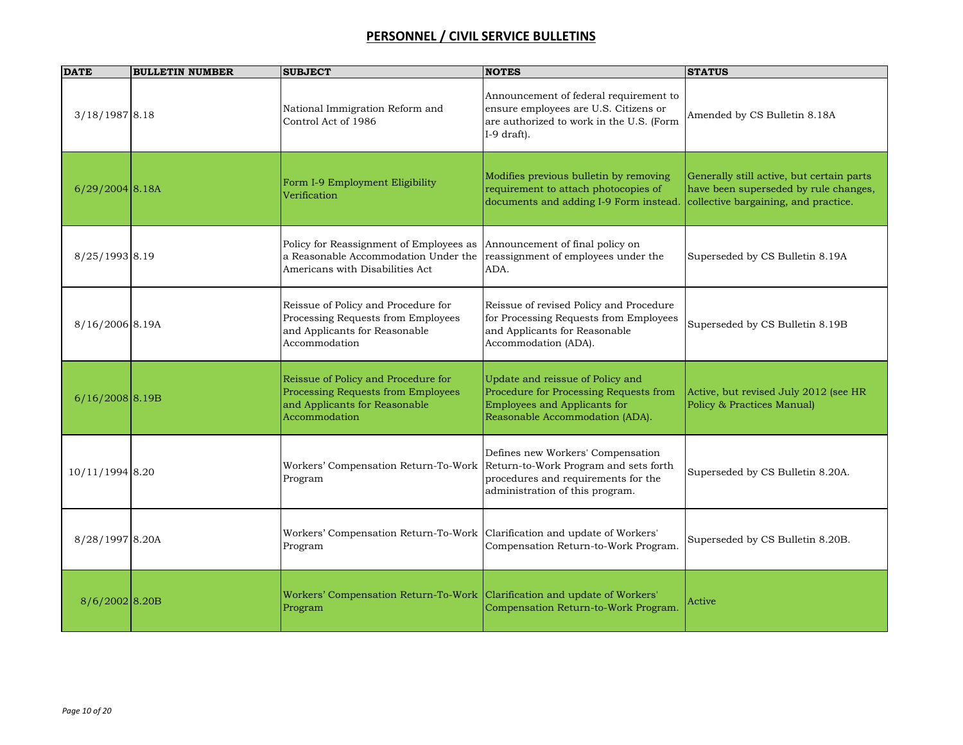| <b>DATE</b>       | <b>BULLETIN NUMBER</b> | <b>SUBJECT</b>                                                                                                              | <b>NOTES</b>                                                                                                                                         | <b>STATUS</b>                                                                                                              |
|-------------------|------------------------|-----------------------------------------------------------------------------------------------------------------------------|------------------------------------------------------------------------------------------------------------------------------------------------------|----------------------------------------------------------------------------------------------------------------------------|
| $3/18/1987$ 8.18  |                        | National Immigration Reform and<br>Control Act of 1986                                                                      | Announcement of federal requirement to<br>ensure employees are U.S. Citizens or<br>are authorized to work in the U.S. (Form<br>I-9 draft).           | Amended by CS Bulletin 8.18A                                                                                               |
| $6/29/2004$ 8.18A |                        | Form I-9 Employment Eligibility<br>Verification                                                                             | Modifies previous bulletin by removing<br>requirement to attach photocopies of<br>documents and adding I-9 Form instead.                             | Generally still active, but certain parts<br>have been superseded by rule changes,<br>collective bargaining, and practice. |
| 8/25/1993 8.19    |                        | Policy for Reassignment of Employees as<br>a Reasonable Accommodation Under the<br>Americans with Disabilities Act          | Announcement of final policy on<br>reassignment of employees under the<br>ADA.                                                                       | Superseded by CS Bulletin 8.19A                                                                                            |
| 8/16/2006 8.19A   |                        | Reissue of Policy and Procedure for<br>Processing Requests from Employees<br>and Applicants for Reasonable<br>Accommodation | Reissue of revised Policy and Procedure<br>for Processing Requests from Employees<br>and Applicants for Reasonable<br>Accommodation (ADA).           | Superseded by CS Bulletin 8.19B                                                                                            |
| $6/16/2008$ 8.19B |                        | Reissue of Policy and Procedure for<br>Processing Requests from Employees<br>and Applicants for Reasonable<br>Accommodation | Update and reissue of Policy and<br>Procedure for Processing Requests from<br>Employees and Applicants for<br>Reasonable Accommodation (ADA).        | Active, but revised July 2012 (see HR<br>Policy & Practices Manual)                                                        |
| 10/11/1994 8.20   |                        | Workers' Compensation Return-To-Work<br>Program                                                                             | Defines new Workers' Compensation<br>Return-to-Work Program and sets forth<br>procedures and requirements for the<br>administration of this program. | Superseded by CS Bulletin 8.20A.                                                                                           |
| 8/28/1997 8.20A   |                        | Workers' Compensation Return-To-Work Clarification and update of Workers'<br>Program                                        | Compensation Return-to-Work Program.                                                                                                                 | Superseded by CS Bulletin 8.20B.                                                                                           |
| 8/6/2002 8.20B    |                        | Workers' Compensation Return-To-Work Clarification and update of Workers'<br>Program                                        | Compensation Return-to-Work Program.                                                                                                                 | Active                                                                                                                     |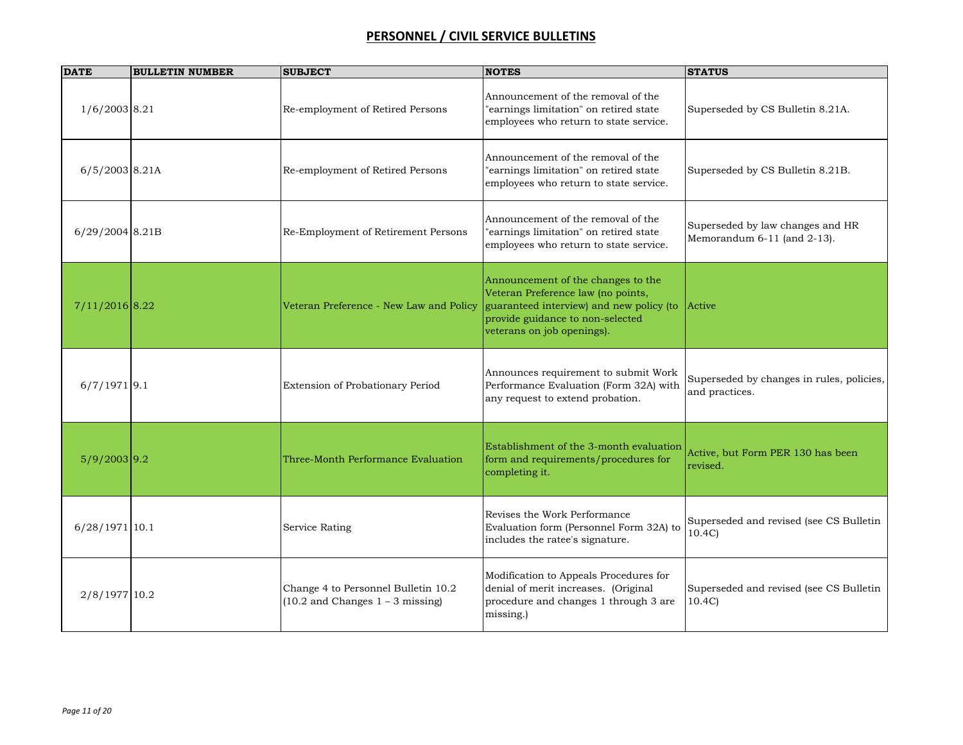| <b>DATE</b>      | <b>BULLETIN NUMBER</b> | <b>SUBJECT</b>                                                              | <b>NOTES</b>                                                                                                                                                                           | <b>STATUS</b>                                                   |
|------------------|------------------------|-----------------------------------------------------------------------------|----------------------------------------------------------------------------------------------------------------------------------------------------------------------------------------|-----------------------------------------------------------------|
| $1/6/2003$ 8.21  |                        | Re-employment of Retired Persons                                            | Announcement of the removal of the<br>'earnings limitation" on retired state<br>employees who return to state service.                                                                 | Superseded by CS Bulletin 8.21A.                                |
| 6/5/2003 8.21A   |                        | Re-employment of Retired Persons                                            | Announcement of the removal of the<br>'earnings limitation" on retired state<br>employees who return to state service.                                                                 | Superseded by CS Bulletin 8.21B.                                |
| 6/29/2004 8.21B  |                        | Re-Employment of Retirement Persons                                         | Announcement of the removal of the<br>'earnings limitation" on retired state<br>employees who return to state service.                                                                 | Superseded by law changes and HR<br>Memorandum 6-11 (and 2-13). |
| $7/11/2016$ 8.22 |                        | Veteran Preference - New Law and Policy                                     | Announcement of the changes to the<br>Veteran Preference law (no points,<br>guaranteed interview) and new policy (to<br>provide guidance to non-selected<br>veterans on job openings). | Active                                                          |
| $6/7/1971$ 9.1   |                        | Extension of Probationary Period                                            | Announces requirement to submit Work<br>Performance Evaluation (Form 32A) with<br>any request to extend probation.                                                                     | Superseded by changes in rules, policies,<br>and practices.     |
| $5/9/2003$ 9.2   |                        | Three-Month Performance Evaluation                                          | Establishment of the 3-month evaluation<br>form and requirements/procedures for<br>completing it.                                                                                      | Active, but Form PER 130 has been<br>revised.                   |
| $6/28/1971$ 10.1 |                        | Service Rating                                                              | Revises the Work Performance<br>Evaluation form (Personnel Form 32A) to<br>includes the ratee's signature.                                                                             | Superseded and revised (see CS Bulletin<br>10.4C                |
| 2/8/1977 10.2    |                        | Change 4 to Personnel Bulletin 10.2<br>$(10.2$ and Changes $1 - 3$ missing) | Modification to Appeals Procedures for<br>denial of merit increases. (Original<br>procedure and changes 1 through 3 are<br>missing.)                                                   | Superseded and revised (see CS Bulletin<br>10.4C                |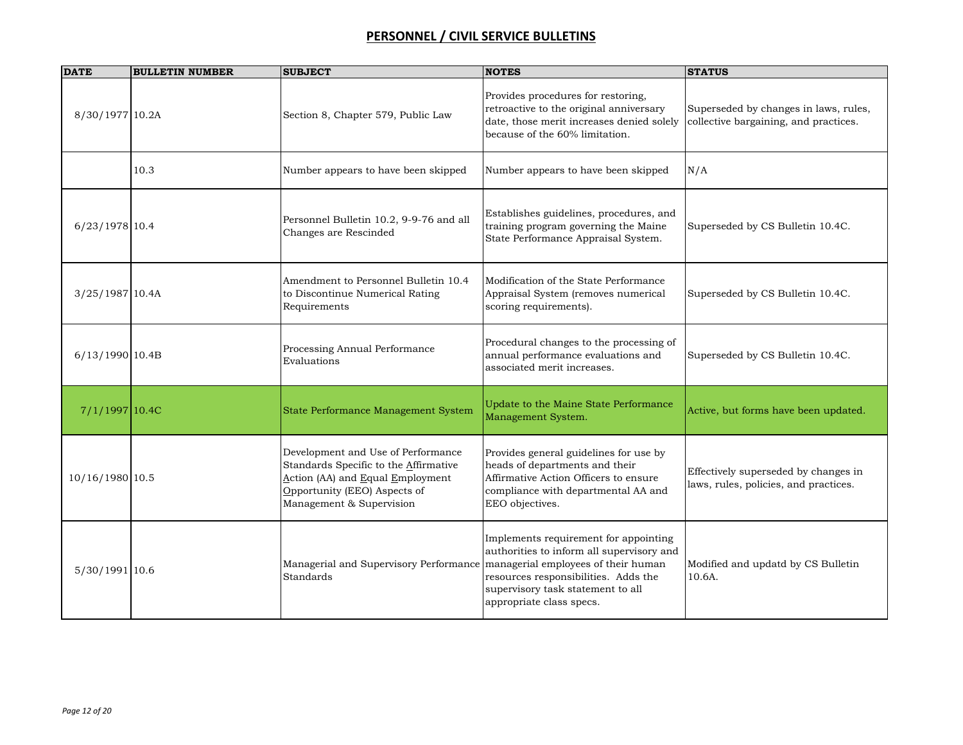| <b>DATE</b>      | <b>BULLETIN NUMBER</b> | <b>SUBJECT</b>                                                                                                                                                              | <b>NOTES</b>                                                                                                                                                                                                                       | <b>STATUS</b>                                                                  |
|------------------|------------------------|-----------------------------------------------------------------------------------------------------------------------------------------------------------------------------|------------------------------------------------------------------------------------------------------------------------------------------------------------------------------------------------------------------------------------|--------------------------------------------------------------------------------|
| 8/30/1977 10.2A  |                        | Section 8, Chapter 579, Public Law                                                                                                                                          | Provides procedures for restoring,<br>retroactive to the original anniversary<br>date, those merit increases denied solely<br>because of the 60% limitation.                                                                       | Superseded by changes in laws, rules,<br>collective bargaining, and practices. |
|                  | 10.3                   | Number appears to have been skipped                                                                                                                                         | Number appears to have been skipped                                                                                                                                                                                                | N/A                                                                            |
| 6/23/1978 10.4   |                        | Personnel Bulletin 10.2, 9-9-76 and all<br>Changes are Rescinded                                                                                                            | Establishes guidelines, procedures, and<br>training program governing the Maine<br>State Performance Appraisal System.                                                                                                             | Superseded by CS Bulletin 10.4C.                                               |
| 3/25/1987 10.4A  |                        | Amendment to Personnel Bulletin 10.4<br>to Discontinue Numerical Rating<br>Requirements                                                                                     | Modification of the State Performance<br>Appraisal System (removes numerical<br>scoring requirements).                                                                                                                             | Superseded by CS Bulletin 10.4C.                                               |
| 6/13/1990 10.4B  |                        | Processing Annual Performance<br>Evaluations                                                                                                                                | Procedural changes to the processing of<br>annual performance evaluations and<br>associated merit increases.                                                                                                                       | Superseded by CS Bulletin 10.4C.                                               |
| $7/1/1997$ 10.4C |                        | State Performance Management System                                                                                                                                         | Update to the Maine State Performance<br>Management System.                                                                                                                                                                        | Active, but forms have been updated.                                           |
| 10/16/1980 10.5  |                        | Development and Use of Performance<br>Standards Specific to the Affirmative<br>Action (AA) and Equal Employment<br>Opportunity (EEO) Aspects of<br>Management & Supervision | Provides general guidelines for use by<br>heads of departments and their<br>Affirmative Action Officers to ensure<br>compliance with departmental AA and<br>EEO objectives.                                                        | Effectively superseded by changes in<br>laws, rules, policies, and practices.  |
| 5/30/1991 10.6   |                        | Managerial and Supervisory Performance<br>Standards                                                                                                                         | Implements requirement for appointing<br>authorities to inform all supervisory and<br>managerial employees of their human<br>resources responsibilities. Adds the<br>supervisory task statement to all<br>appropriate class specs. | Modified and updatd by CS Bulletin<br>10.6A.                                   |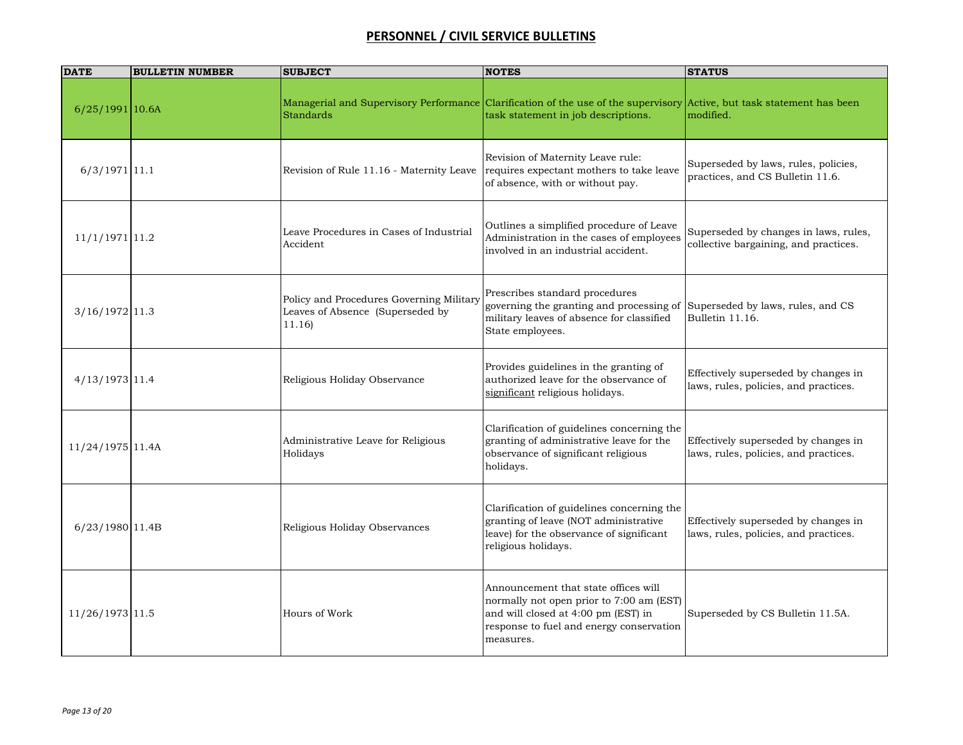| <b>DATE</b>       | <b>BULLETIN NUMBER</b> | <b>SUBJECT</b>                                                                         | <b>NOTES</b>                                                                                                                                                                     | <b>STATUS</b>                                                                  |
|-------------------|------------------------|----------------------------------------------------------------------------------------|----------------------------------------------------------------------------------------------------------------------------------------------------------------------------------|--------------------------------------------------------------------------------|
| $6/25/1991$ 10.6A |                        | <b>Standards</b>                                                                       | Managerial and Supervisory Performance Clarification of the use of the supervisory Active, but task statement has been<br>task statement in job descriptions.                    | modified.                                                                      |
| $6/3/1971$ 11.1   |                        | Revision of Rule 11.16 - Maternity Leave                                               | Revision of Maternity Leave rule:<br>requires expectant mothers to take leave<br>of absence, with or without pay.                                                                | Superseded by laws, rules, policies,<br>practices, and CS Bulletin 11.6.       |
| $11/1/1971$ 11.2  |                        | Leave Procedures in Cases of Industrial<br>Accident                                    | Outlines a simplified procedure of Leave<br>Administration in the cases of employees<br>involved in an industrial accident.                                                      | Superseded by changes in laws, rules,<br>collective bargaining, and practices. |
| $3/16/1972$ 11.3  |                        | Policy and Procedures Governing Military<br>Leaves of Absence (Superseded by<br>11.16) | Prescribes standard procedures<br>governing the granting and processing of<br>military leaves of absence for classified<br>State employees.                                      | Superseded by laws, rules, and CS<br>Bulletin 11.16.                           |
| 4/13/1973 11.4    |                        | Religious Holiday Observance                                                           | Provides guidelines in the granting of<br>authorized leave for the observance of<br>significant religious holidays.                                                              | Effectively superseded by changes in<br>laws, rules, policies, and practices.  |
| 11/24/1975 11.4A  |                        | Administrative Leave for Religious<br>Holidays                                         | Clarification of guidelines concerning the<br>granting of administrative leave for the<br>observance of significant religious<br>holidays.                                       | Effectively superseded by changes in<br>laws, rules, policies, and practices.  |
| 6/23/1980 11.4B   |                        | Religious Holiday Observances                                                          | Clarification of guidelines concerning the<br>granting of leave (NOT administrative<br>leave) for the observance of significant<br>religious holidays.                           | Effectively superseded by changes in<br>laws, rules, policies, and practices.  |
| 11/26/1973 11.5   |                        | Hours of Work                                                                          | Announcement that state offices will<br>normally not open prior to 7:00 am (EST)<br>and will closed at 4:00 pm (EST) in<br>response to fuel and energy conservation<br>measures. | Superseded by CS Bulletin 11.5A.                                               |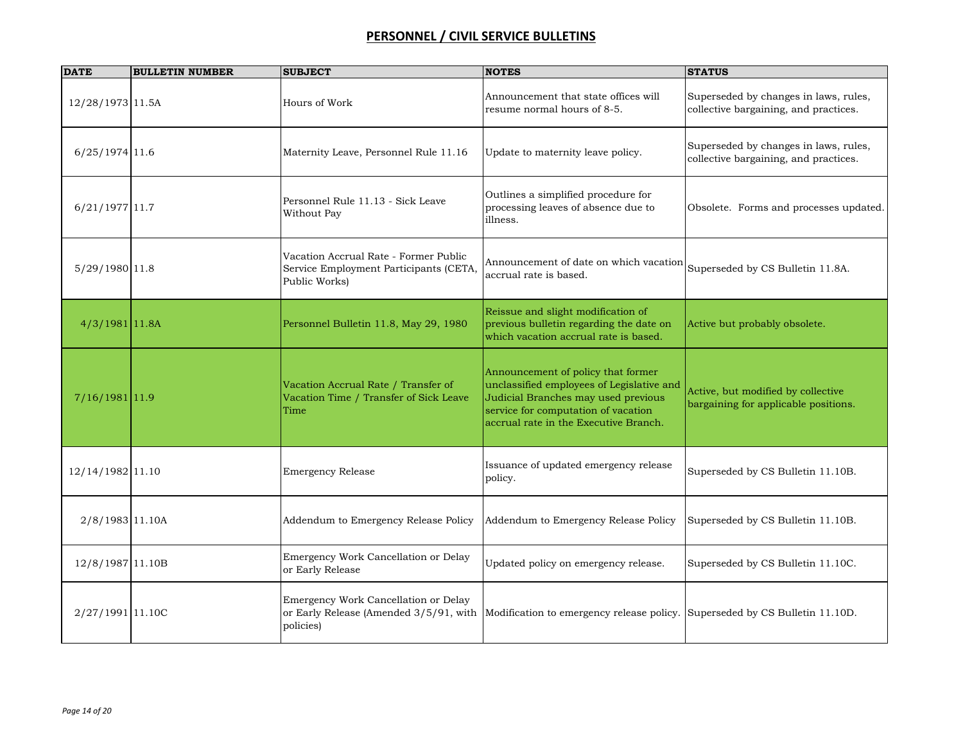| <b>DATE</b>       | <b>BULLETIN NUMBER</b> | <b>SUBJECT</b>                                                                                   | <b>NOTES</b>                                                                                                                                                                                           | <b>STATUS</b>                                                                  |
|-------------------|------------------------|--------------------------------------------------------------------------------------------------|--------------------------------------------------------------------------------------------------------------------------------------------------------------------------------------------------------|--------------------------------------------------------------------------------|
| 12/28/1973 11.5A  |                        | Hours of Work                                                                                    | Announcement that state offices will<br>resume normal hours of 8-5.                                                                                                                                    | Superseded by changes in laws, rules,<br>collective bargaining, and practices. |
| $6/25/1974$ 11.6  |                        | Maternity Leave, Personnel Rule 11.16                                                            | Update to maternity leave policy.                                                                                                                                                                      | Superseded by changes in laws, rules,<br>collective bargaining, and practices. |
| $6/21/1977$ 11.7  |                        | Personnel Rule 11.13 - Sick Leave<br>Without Pay                                                 | Outlines a simplified procedure for<br>processing leaves of absence due to<br>illness.                                                                                                                 | Obsolete. Forms and processes updated.                                         |
| 5/29/1980 11.8    |                        | Vacation Accrual Rate - Former Public<br>Service Employment Participants (CETA,<br>Public Works) | Announcement of date on which vacation<br>accrual rate is based.                                                                                                                                       | Superseded by CS Bulletin 11.8A.                                               |
| $4/3/1981$ 11.8A  |                        | Personnel Bulletin 11.8, May 29, 1980                                                            | Reissue and slight modification of<br>previous bulletin regarding the date on<br>which vacation accrual rate is based.                                                                                 | Active but probably obsolete.                                                  |
| $7/16/1981$ 11.9  |                        | Vacation Accrual Rate / Transfer of<br>Vacation Time / Transfer of Sick Leave<br>Time            | Announcement of policy that former<br>unclassified employees of Legislative and<br>Judicial Branches may used previous<br>service for computation of vacation<br>accrual rate in the Executive Branch. | Active, but modified by collective<br>bargaining for applicable positions.     |
| 12/14/1982 11.10  |                        | <b>Emergency Release</b>                                                                         | Issuance of updated emergency release<br>policy.                                                                                                                                                       | Superseded by CS Bulletin 11.10B.                                              |
| $2/8/1983$ 11.10A |                        | Addendum to Emergency Release Policy                                                             | Addendum to Emergency Release Policy                                                                                                                                                                   | Superseded by CS Bulletin 11.10B.                                              |
| 12/8/1987 11.10B  |                        | Emergency Work Cancellation or Delay<br>or Early Release                                         | Updated policy on emergency release.                                                                                                                                                                   | Superseded by CS Bulletin 11.10C.                                              |
| 2/27/1991 11.10C  |                        | Emergency Work Cancellation or Delay<br>or Early Release (Amended 3/5/91, with<br>policies)      | Modification to emergency release policy. Superseded by CS Bulletin 11.10D.                                                                                                                            |                                                                                |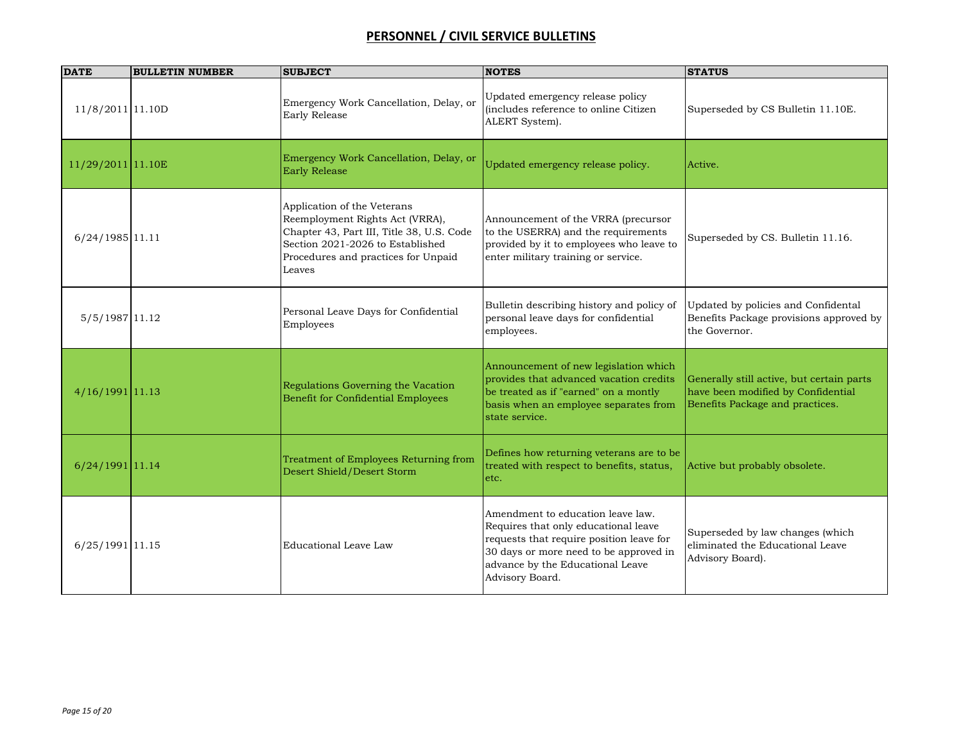| <b>DATE</b>        | <b>BULLETIN NUMBER</b> | <b>SUBJECT</b>                                                                                                                                                                                   | <b>NOTES</b>                                                                                                                                                                                                           | <b>STATUS</b>                                                                                                      |
|--------------------|------------------------|--------------------------------------------------------------------------------------------------------------------------------------------------------------------------------------------------|------------------------------------------------------------------------------------------------------------------------------------------------------------------------------------------------------------------------|--------------------------------------------------------------------------------------------------------------------|
| 11/8/2011 11.10D   |                        | Emergency Work Cancellation, Delay, or<br>Early Release                                                                                                                                          | Updated emergency release policy<br>(includes reference to online Citizen<br>ALERT System).                                                                                                                            | Superseded by CS Bulletin 11.10E.                                                                                  |
| 11/29/2011 11.10E  |                        | Emergency Work Cancellation, Delay, or<br>Early Release                                                                                                                                          | Updated emergency release policy.                                                                                                                                                                                      | Active.                                                                                                            |
| 6/24/1985 11.11    |                        | Application of the Veterans<br>Reemployment Rights Act (VRRA),<br>Chapter 43, Part III, Title 38, U.S. Code<br>Section 2021-2026 to Established<br>Procedures and practices for Unpaid<br>Leaves | Announcement of the VRRA (precursor<br>to the USERRA) and the requirements<br>provided by it to employees who leave to<br>enter military training or service.                                                          | Superseded by CS. Bulletin 11.16.                                                                                  |
| 5/5/1987 11.12     |                        | Personal Leave Days for Confidential<br>Employees                                                                                                                                                | Bulletin describing history and policy of<br>personal leave days for confidential<br>employees.                                                                                                                        | Updated by policies and Confidental<br>Benefits Package provisions approved by<br>the Governor.                    |
| $4/16/1991$  11.13 |                        | Regulations Governing the Vacation<br>Benefit for Confidential Employees                                                                                                                         | Announcement of new legislation which<br>provides that advanced vacation credits<br>be treated as if "earned" on a montly<br>basis when an employee separates from<br>state service.                                   | Generally still active, but certain parts<br>have been modified by Confidential<br>Benefits Package and practices. |
| 6/24/1991 11.14    |                        | Treatment of Employees Returning from<br>Desert Shield/Desert Storm                                                                                                                              | Defines how returning veterans are to be<br>treated with respect to benefits, status,<br>etc.                                                                                                                          | Active but probably obsolete.                                                                                      |
| 6/25/1991 11.15    |                        | Educational Leave Law                                                                                                                                                                            | Amendment to education leave law.<br>Requires that only educational leave<br>requests that require position leave for<br>30 days or more need to be approved in<br>advance by the Educational Leave<br>Advisory Board. | Superseded by law changes (which<br>eliminated the Educational Leave<br>Advisory Board).                           |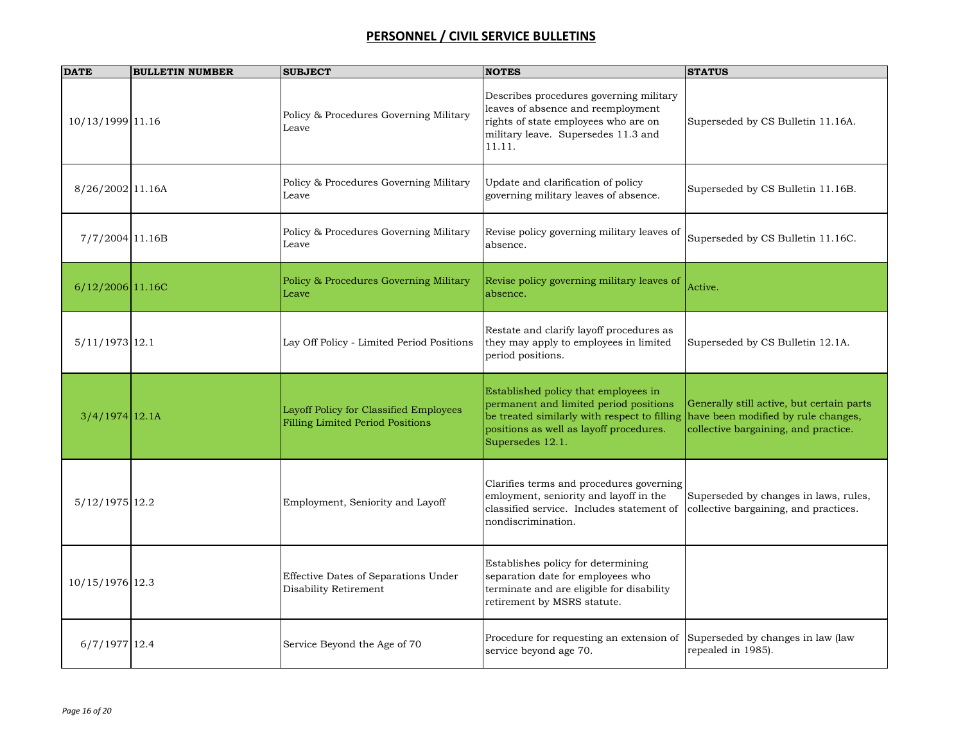| <b>DATE</b>       | <b>BULLETIN NUMBER</b> | <b>SUBJECT</b>                                                                    | <b>NOTES</b>                                                                                                                                                                                  | <b>STATUS</b>                                                                                                            |
|-------------------|------------------------|-----------------------------------------------------------------------------------|-----------------------------------------------------------------------------------------------------------------------------------------------------------------------------------------------|--------------------------------------------------------------------------------------------------------------------------|
| 10/13/1999 11.16  |                        | Policy & Procedures Governing Military<br>Leave                                   | Describes procedures governing military<br>leaves of absence and reemployment<br>rights of state employees who are on<br>military leave. Supersedes 11.3 and<br>11.11.                        | Superseded by CS Bulletin 11.16A.                                                                                        |
| 8/26/2002 11.16A  |                        | Policy & Procedures Governing Military<br>Leave                                   | Update and clarification of policy<br>governing military leaves of absence.                                                                                                                   | Superseded by CS Bulletin 11.16B.                                                                                        |
| 7/7/2004 11.16B   |                        | Policy & Procedures Governing Military<br>Leave                                   | Revise policy governing military leaves of<br>absence.                                                                                                                                        | Superseded by CS Bulletin 11.16C.                                                                                        |
| 6/12/2006 11.16C  |                        | Policy & Procedures Governing Military<br>Leave                                   | Revise policy governing military leaves of<br>absence.                                                                                                                                        | Active.                                                                                                                  |
| 5/11/1973 12.1    |                        | Lay Off Policy - Limited Period Positions                                         | Restate and clarify layoff procedures as<br>they may apply to employees in limited<br>period positions.                                                                                       | Superseded by CS Bulletin 12.1A.                                                                                         |
| $3/4/1974$  12.1A |                        | Layoff Policy for Classified Employees<br><b>Filling Limited Period Positions</b> | Established policy that employees in<br>permanent and limited period positions<br>be treated similarly with respect to filling<br>positions as well as layoff procedures.<br>Supersedes 12.1. | Generally still active, but certain parts<br>have been modified by rule changes,<br>collective bargaining, and practice. |
| 5/12/1975 12.2    |                        | Employment, Seniority and Layoff                                                  | Clarifies terms and procedures governing<br>emloyment, seniority and layoff in the<br>classified service. Includes statement of<br>nondiscrimination.                                         | Superseded by changes in laws, rules,<br>collective bargaining, and practices.                                           |
| 10/15/1976 12.3   |                        | Effective Dates of Separations Under<br>Disability Retirement                     | Establishes policy for determining<br>separation date for employees who<br>terminate and are eligible for disability<br>retirement by MSRS statute.                                           |                                                                                                                          |
| $6/7/1977$ 12.4   |                        | Service Beyond the Age of 70                                                      | Procedure for requesting an extension of<br>service beyond age 70.                                                                                                                            | Superseded by changes in law (law<br>repealed in 1985).                                                                  |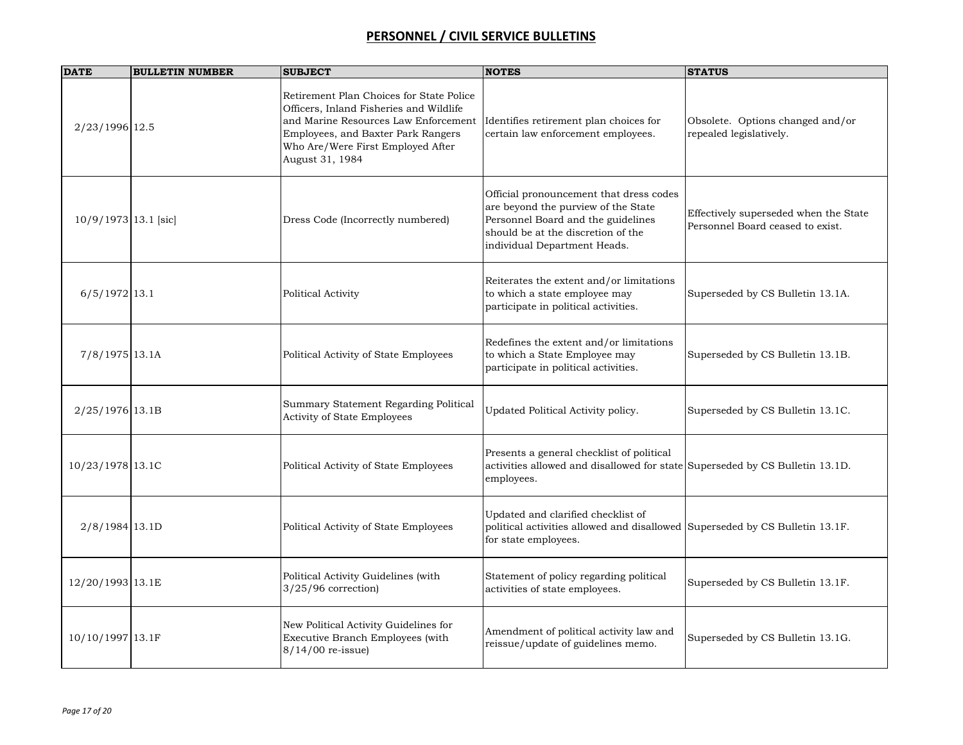| <b>DATE</b>          | <b>BULLETIN NUMBER</b> | <b>SUBJECT</b>                                                                                                                                                                                                            | <b>NOTES</b>                                                                                                                                                                               | <b>STATUS</b>                                                             |
|----------------------|------------------------|---------------------------------------------------------------------------------------------------------------------------------------------------------------------------------------------------------------------------|--------------------------------------------------------------------------------------------------------------------------------------------------------------------------------------------|---------------------------------------------------------------------------|
| 2/23/1996 12.5       |                        | Retirement Plan Choices for State Police<br>Officers, Inland Fisheries and Wildlife<br>and Marine Resources Law Enforcement<br>Employees, and Baxter Park Rangers<br>Who Are/Were First Employed After<br>August 31, 1984 | Identifies retirement plan choices for<br>certain law enforcement employees.                                                                                                               | Obsolete. Options changed and/or<br>repealed legislatively.               |
| 10/9/1973 13.1 [sic] |                        | Dress Code (Incorrectly numbered)                                                                                                                                                                                         | Official pronouncement that dress codes<br>are beyond the purview of the State<br>Personnel Board and the guidelines<br>should be at the discretion of the<br>individual Department Heads. | Effectively superseded when the State<br>Personnel Board ceased to exist. |
| $6/5/1972$ 13.1      |                        | Political Activity                                                                                                                                                                                                        | Reiterates the extent and/or limitations<br>to which a state employee may<br>participate in political activities.                                                                          | Superseded by CS Bulletin 13.1A.                                          |
| 7/8/1975 13.1A       |                        | Political Activity of State Employees                                                                                                                                                                                     | Redefines the extent and/or limitations<br>to which a State Employee may<br>participate in political activities.                                                                           | Superseded by CS Bulletin 13.1B.                                          |
| $2/25/1976$ 13.1B    |                        | Summary Statement Regarding Political<br>Activity of State Employees                                                                                                                                                      | Updated Political Activity policy.                                                                                                                                                         | Superseded by CS Bulletin 13.1C.                                          |
| 10/23/1978 13.1C     |                        | Political Activity of State Employees                                                                                                                                                                                     | Presents a general checklist of political<br>activities allowed and disallowed for state Superseded by CS Bulletin 13.1D.<br>employees.                                                    |                                                                           |
| $2/8/1984$ 13.1D     |                        | Political Activity of State Employees                                                                                                                                                                                     | Updated and clarified checklist of<br>political activities allowed and disallowed Superseded by CS Bulletin 13.1F.<br>for state employees.                                                 |                                                                           |
| 12/20/1993 13.1E     |                        | Political Activity Guidelines (with<br>$3/25/96$ correction)                                                                                                                                                              | Statement of policy regarding political<br>activities of state employees.                                                                                                                  | Superseded by CS Bulletin 13.1F.                                          |
| 10/10/1997 13.1F     |                        | New Political Activity Guidelines for<br>Executive Branch Employees (with<br>8/14/00 re-issue)                                                                                                                            | Amendment of political activity law and<br>reissue/update of guidelines memo.                                                                                                              | Superseded by CS Bulletin 13.1G.                                          |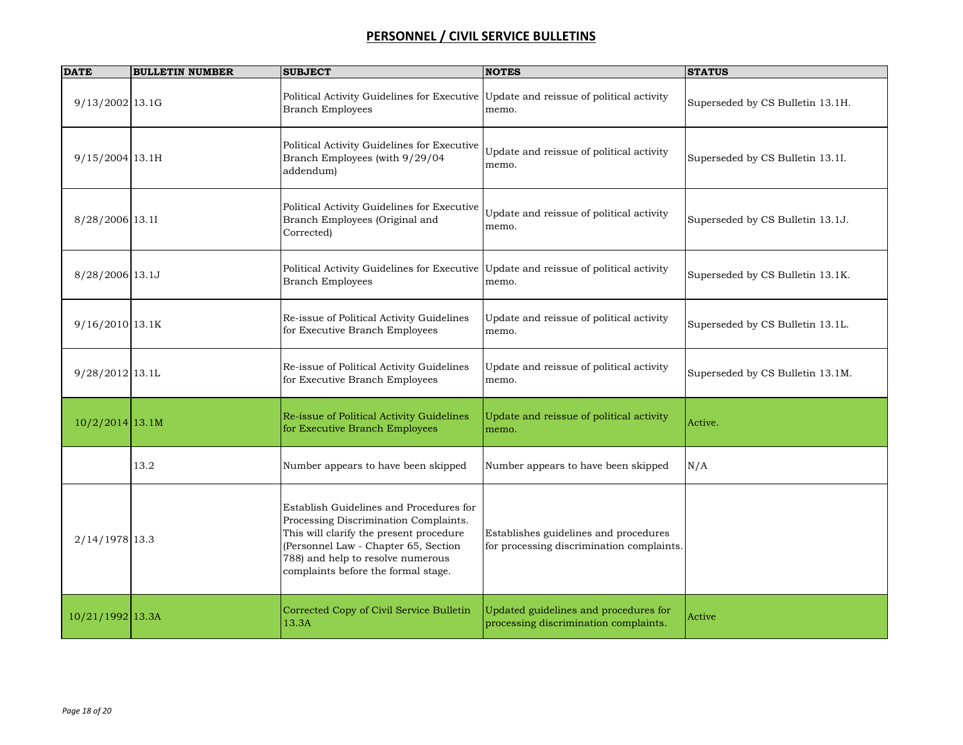| <b>DATE</b>       | <b>BULLETIN NUMBER</b> | <b>SUBJECT</b>                                                                                                                                                                                                                                  | <b>NOTES</b>                                                                       | <b>STATUS</b>                    |
|-------------------|------------------------|-------------------------------------------------------------------------------------------------------------------------------------------------------------------------------------------------------------------------------------------------|------------------------------------------------------------------------------------|----------------------------------|
| 9/13/2002 13.1G   |                        | Political Activity Guidelines for Executive Update and reissue of political activity<br><b>Branch Employees</b>                                                                                                                                 | memo.                                                                              | Superseded by CS Bulletin 13.1H. |
| 9/15/2004 13.1H   |                        | Political Activity Guidelines for Executive<br>Branch Employees (with 9/29/04<br>addendum)                                                                                                                                                      | Update and reissue of political activity<br>memo.                                  | Superseded by CS Bulletin 13.1I. |
| 8/28/2006 13.11   |                        | Political Activity Guidelines for Executive<br>Branch Employees (Original and<br>Corrected)                                                                                                                                                     | Update and reissue of political activity<br>memo.                                  | Superseded by CS Bulletin 13.1J. |
| 8/28/2006 13.1J   |                        | Political Activity Guidelines for Executive Update and reissue of political activity<br><b>Branch Employees</b>                                                                                                                                 | memo.                                                                              | Superseded by CS Bulletin 13.1K. |
| 9/16/2010 13.1K   |                        | Re-issue of Political Activity Guidelines<br>for Executive Branch Employees                                                                                                                                                                     | Update and reissue of political activity<br>memo.                                  | Superseded by CS Bulletin 13.1L. |
| 9/28/2012 13.1L   |                        | Re-issue of Political Activity Guidelines<br>for Executive Branch Employees                                                                                                                                                                     | Update and reissue of political activity<br>memo.                                  | Superseded by CS Bulletin 13.1M. |
| $10/2/2014$ 13.1M |                        | Re-issue of Political Activity Guidelines<br>for Executive Branch Employees                                                                                                                                                                     | Update and reissue of political activity<br>memo.                                  | Active.                          |
|                   | 13.2                   | Number appears to have been skipped                                                                                                                                                                                                             | Number appears to have been skipped                                                | N/A                              |
| 2/14/1978 13.3    |                        | Establish Guidelines and Procedures for<br>Processing Discrimination Complaints.<br>This will clarify the present procedure<br>(Personnel Law - Chapter 65, Section<br>788) and help to resolve numerous<br>complaints before the formal stage. | Establishes guidelines and procedures<br>for processing discrimination complaints. |                                  |
| 10/21/1992 13.3A  |                        | Corrected Copy of Civil Service Bulletin<br>13.3A                                                                                                                                                                                               | Updated guidelines and procedures for<br>processing discrimination complaints.     | Active                           |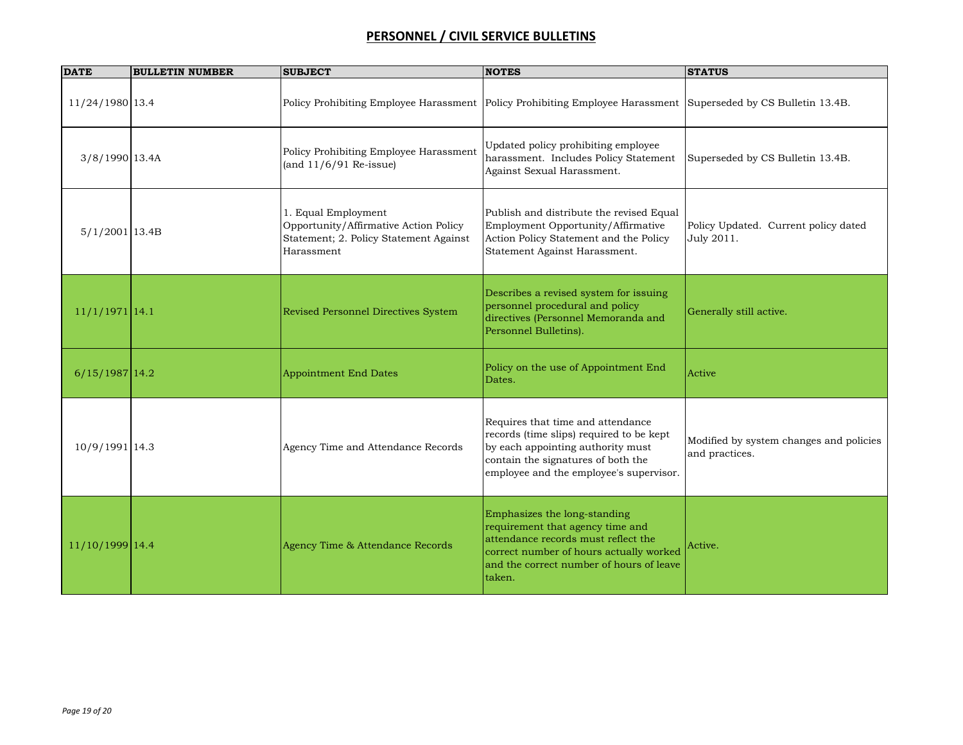| <b>DATE</b>      | <b>BULLETIN NUMBER</b> | <b>SUBJECT</b>                                                                                                       | <b>NOTES</b>                                                                                                                                                                                             | <b>STATUS</b>                                             |
|------------------|------------------------|----------------------------------------------------------------------------------------------------------------------|----------------------------------------------------------------------------------------------------------------------------------------------------------------------------------------------------------|-----------------------------------------------------------|
| 11/24/1980 13.4  |                        | Policy Prohibiting Employee Harassment                                                                               | Policy Prohibiting Employee Harassment Superseded by CS Bulletin 13.4B.                                                                                                                                  |                                                           |
| 3/8/1990 13.4A   |                        | Policy Prohibiting Employee Harassment<br>(and $11/6/91$ Re-issue)                                                   | Updated policy prohibiting employee<br>harassment. Includes Policy Statement<br>Against Sexual Harassment.                                                                                               | Superseded by CS Bulletin 13.4B.                          |
| $5/1/2001$ 13.4B |                        | 1. Equal Employment<br>Opportunity/Affirmative Action Policy<br>Statement; 2. Policy Statement Against<br>Harassment | Publish and distribute the revised Equal<br>Employment Opportunity/Affirmative<br>Action Policy Statement and the Policy<br>Statement Against Harassment.                                                | Policy Updated. Current policy dated<br>July 2011.        |
| $11/1/1971$ 14.1 |                        | Revised Personnel Directives System                                                                                  | Describes a revised system for issuing<br>personnel procedural and policy<br>directives (Personnel Memoranda and<br>Personnel Bulletins).                                                                | Generally still active.                                   |
| $6/15/1987$ 14.2 |                        | <b>Appointment End Dates</b>                                                                                         | Policy on the use of Appointment End<br>Dates.                                                                                                                                                           | Active                                                    |
| 10/9/1991 14.3   |                        | Agency Time and Attendance Records                                                                                   | Requires that time and attendance<br>records (time slips) required to be kept<br>by each appointing authority must<br>contain the signatures of both the<br>employee and the employee's supervisor.      | Modified by system changes and policies<br>and practices. |
| 11/10/1999 14.4  |                        | Agency Time & Attendance Records                                                                                     | Emphasizes the long-standing<br>requirement that agency time and<br>attendance records must reflect the<br>correct number of hours actually worked<br>and the correct number of hours of leave<br>taken. | Active.                                                   |